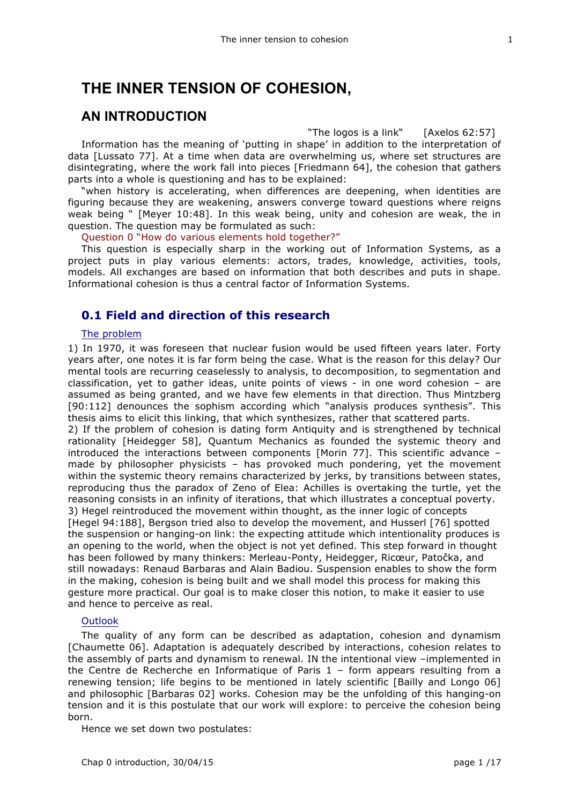# **THE INNER TENSION OF COHESION,**

## **AN INTRODUCTION**

"The logos is a link" [Axelos 62:57] Information has the meaning of 'putting in shape' in addition to the interpretation of data [Lussato 77]. At a time when data are overwhelming us, where set structures are disintegrating, where the work fall into pieces [Friedmann 64], the cohesion that gathers parts into a whole is questioning and has to be explained:

"when history is accelerating, when differences are deepening, when identities are figuring because they are weakening, answers converge toward questions where reigns weak being " [Meyer 10:48]. In this weak being, unity and cohesion are weak, the in question. The question may be formulated as such:

Question 0 "How do various elements hold together?"

This question is especially sharp in the working out of Information Systems, as a project puts in play various elements: actors, trades, knowledge, activities, tools, models. All exchanges are based on information that both describes and puts in shape. Informational cohesion is thus a central factor of Information Systems.

## **0.1 Field and direction of this research**

#### The problem

1) In 1970, it was foreseen that nuclear fusion would be used fifteen years later. Forty years after, one notes it is far form being the case. What is the reason for this delay? Our mental tools are recurring ceaselessly to analysis, to decomposition, to segmentation and classification, yet to gather ideas, unite points of views - in one word cohesion – are assumed as being granted, and we have few elements in that direction. Thus Mintzberg [90:112] denounces the sophism according which "analysis produces synthesis". This thesis aims to elicit this linking, that which synthesizes, rather that scattered parts. 2) If the problem of cohesion is dating form Antiquity and is strengthened by technical rationality [Heidegger 58], Quantum Mechanics as founded the systemic theory and introduced the interactions between components [Morin 77]. This scientific advance – made by philosopher physicists – has provoked much pondering, yet the movement within the systemic theory remains characterized by jerks, by transitions between states, reproducing thus the paradox of Zeno of Elea: Achilles is overtaking the turtle, yet the reasoning consists in an infinity of iterations, that which illustrates a conceptual poverty. 3) Hegel reintroduced the movement within thought, as the inner logic of concepts [Hegel 94:188], Bergson tried also to develop the movement, and Husserl [76] spotted the suspension or hanging-on link: the expecting attitude which intentionality produces is an opening to the world, when the object is not yet defined. This step forward in thought has been followed by many thinkers: Merleau-Ponty, Heidegger, Ricœur, Patočka, and still nowadays: Renaud Barbaras and Alain Badiou. Suspension enables to show the form in the making, cohesion is being built and we shall model this process for making this gesture more practical. Our goal is to make closer this notion, to make it easier to use

#### **Outlook**

The quality of any form can be described as adaptation, cohesion and dynamism [Chaumette 06]. Adaptation is adequately described by interactions, cohesion relates to the assembly of parts and dynamism to renewal. IN the intentional view –implemented in the Centre de Recherche en Informatique of Paris  $1$  – form appears resulting from a renewing tension; life begins to be mentioned in lately scientific [Bailly and Longo 06] and philosophic [Barbaras 02] works. Cohesion may be the unfolding of this hanging-on tension and it is this postulate that our work will explore: to perceive the cohesion being born.

Hence we set down two postulates:

and hence to perceive as real.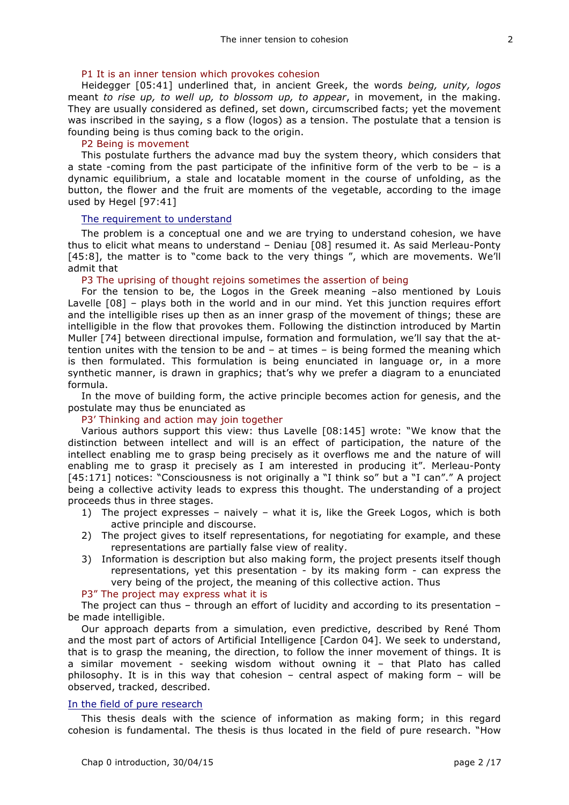#### P1 It is an inner tension which provokes cohesion

Heidegger [05:41] underlined that, in ancient Greek, the words *being, unity, logos* meant *to rise up, to well up, to blossom up, to appear*, in movement, in the making. They are usually considered as defined, set down, circumscribed facts; yet the movement was inscribed in the saying, s a flow (logos) as a tension. The postulate that a tension is founding being is thus coming back to the origin.

#### P2 Being is movement

This postulate furthers the advance mad buy the system theory, which considers that a state -coming from the past participate of the infinitive form of the verb to be – is a dynamic equilibrium, a stale and locatable moment in the course of unfolding, as the button, the flower and the fruit are moments of the vegetable, according to the image used by Hegel [97:41]

#### The requirement to understand

The problem is a conceptual one and we are trying to understand cohesion, we have thus to elicit what means to understand – Deniau [08] resumed it. As said Merleau-Ponty [45:8], the matter is to "come back to the very things", which are movements. We'll admit that

#### P3 The uprising of thought rejoins sometimes the assertion of being

For the tension to be, the Logos in the Greek meaning –also mentioned by Louis Lavelle [08] – plays both in the world and in our mind. Yet this junction requires effort and the intelligible rises up then as an inner grasp of the movement of things; these are intelligible in the flow that provokes them. Following the distinction introduced by Martin Muller [74] between directional impulse, formation and formulation, we'll say that the attention unites with the tension to be and – at times – is being formed the meaning which is then formulated. This formulation is being enunciated in language or, in a more synthetic manner, is drawn in graphics; that's why we prefer a diagram to a enunciated formula.

In the move of building form, the active principle becomes action for genesis, and the postulate may thus be enunciated as

#### P3' Thinking and action may join together

Various authors support this view: thus Lavelle [08:145] wrote: "We know that the distinction between intellect and will is an effect of participation, the nature of the intellect enabling me to grasp being precisely as it overflows me and the nature of will enabling me to grasp it precisely as I am interested in producing it". Merleau-Ponty [45:171] notices: "Consciousness is not originally a "I think so" but a "I can"." A project being a collective activity leads to express this thought. The understanding of a project proceeds thus in three stages.

- 1) The project expresses naively what it is, like the Greek Logos, which is both active principle and discourse.
- 2) The project gives to itself representations, for negotiating for example, and these representations are partially false view of reality.
- 3) Information is description but also making form, the project presents itself though representations, yet this presentation - by its making form - can express the very being of the project, the meaning of this collective action. Thus

#### P3" The project may express what it is

The project can thus – through an effort of lucidity and according to its presentation – be made intelligible.

Our approach departs from a simulation, even predictive, described by René Thom and the most part of actors of Artificial Intelligence [Cardon 04]. We seek to understand, that is to grasp the meaning, the direction, to follow the inner movement of things. It is a similar movement - seeking wisdom without owning it – that Plato has called philosophy. It is in this way that cohesion – central aspect of making form – will be observed, tracked, described.

#### In the field of pure research

This thesis deals with the science of information as making form; in this regard cohesion is fundamental. The thesis is thus located in the field of pure research. "How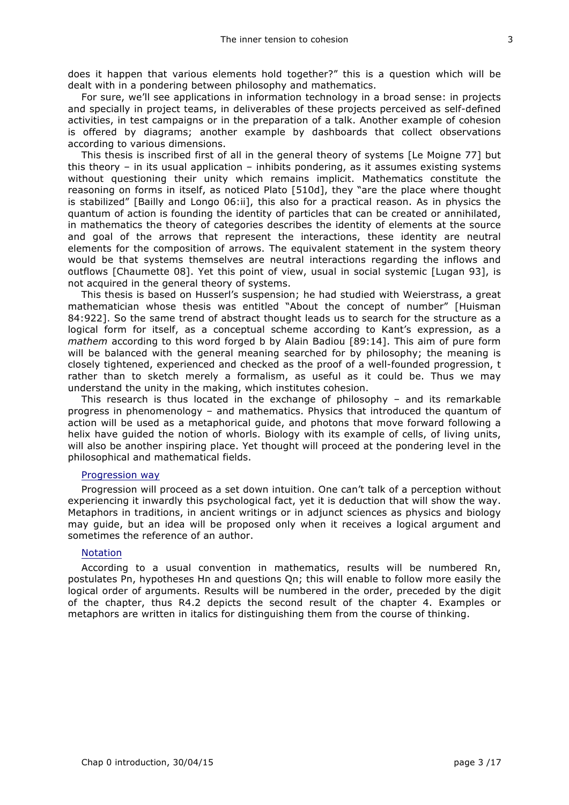does it happen that various elements hold together?" this is a question which will be dealt with in a pondering between philosophy and mathematics.

For sure, we'll see applications in information technology in a broad sense: in projects and specially in project teams, in deliverables of these projects perceived as self-defined activities, in test campaigns or in the preparation of a talk. Another example of cohesion is offered by diagrams; another example by dashboards that collect observations according to various dimensions.

This thesis is inscribed first of all in the general theory of systems [Le Moigne 77] but this theory – in its usual application – inhibits pondering, as it assumes existing systems without questioning their unity which remains implicit. Mathematics constitute the reasoning on forms in itself, as noticed Plato [510d], they "are the place where thought is stabilized" [Bailly and Longo 06:ii], this also for a practical reason. As in physics the quantum of action is founding the identity of particles that can be created or annihilated, in mathematics the theory of categories describes the identity of elements at the source and goal of the arrows that represent the interactions, these identity are neutral elements for the composition of arrows. The equivalent statement in the system theory would be that systems themselves are neutral interactions regarding the inflows and outflows [Chaumette 08]. Yet this point of view, usual in social systemic [Lugan 93], is not acquired in the general theory of systems.

This thesis is based on Husserl's suspension; he had studied with Weierstrass, a great mathematician whose thesis was entitled "About the concept of number" [Huisman 84:922]. So the same trend of abstract thought leads us to search for the structure as a logical form for itself, as a conceptual scheme according to Kant's expression, as a *mathem* according to this word forged b by Alain Badiou [89:14]. This aim of pure form will be balanced with the general meaning searched for by philosophy; the meaning is closely tightened, experienced and checked as the proof of a well-founded progression, t rather than to sketch merely a formalism, as useful as it could be. Thus we may understand the unity in the making, which institutes cohesion.

This research is thus located in the exchange of philosophy – and its remarkable progress in phenomenology – and mathematics. Physics that introduced the quantum of action will be used as a metaphorical guide, and photons that move forward following a helix have guided the notion of whorls. Biology with its example of cells, of living units, will also be another inspiring place. Yet thought will proceed at the pondering level in the philosophical and mathematical fields.

#### Progression way

Progression will proceed as a set down intuition. One can't talk of a perception without experiencing it inwardly this psychological fact, yet it is deduction that will show the way. Metaphors in traditions, in ancient writings or in adjunct sciences as physics and biology may guide, but an idea will be proposed only when it receives a logical argument and sometimes the reference of an author.

#### **Notation**

According to a usual convention in mathematics, results will be numbered Rn, postulates Pn, hypotheses Hn and questions Qn; this will enable to follow more easily the logical order of arguments. Results will be numbered in the order, preceded by the digit of the chapter, thus R4.2 depicts the second result of the chapter 4. Examples or metaphors are written in italics for distinguishing them from the course of thinking.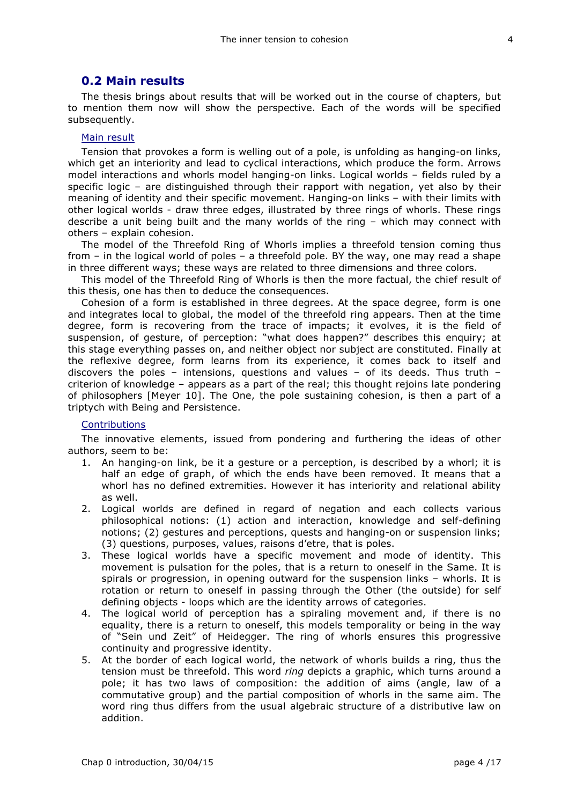### **0.2 Main results**

The thesis brings about results that will be worked out in the course of chapters, but to mention them now will show the perspective. Each of the words will be specified subsequently.

#### Main result

Tension that provokes a form is welling out of a pole, is unfolding as hanging-on links, which get an interiority and lead to cyclical interactions, which produce the form. Arrows model interactions and whorls model hanging-on links. Logical worlds – fields ruled by a specific logic – are distinguished through their rapport with negation, yet also by their meaning of identity and their specific movement. Hanging-on links – with their limits with other logical worlds - draw three edges, illustrated by three rings of whorls. These rings describe a unit being built and the many worlds of the ring – which may connect with others – explain cohesion.

The model of the Threefold Ring of Whorls implies a threefold tension coming thus from – in the logical world of poles – a threefold pole. BY the way, one may read a shape in three different ways; these ways are related to three dimensions and three colors.

This model of the Threefold Ring of Whorls is then the more factual, the chief result of this thesis, one has then to deduce the consequences.

Cohesion of a form is established in three degrees. At the space degree, form is one and integrates local to global, the model of the threefold ring appears. Then at the time degree, form is recovering from the trace of impacts; it evolves, it is the field of suspension, of gesture, of perception: "what does happen?" describes this enquiry; at this stage everything passes on, and neither object nor subject are constituted. Finally at the reflexive degree, form learns from its experience, it comes back to itself and discovers the poles – intensions, questions and values – of its deeds. Thus truth – criterion of knowledge – appears as a part of the real; this thought rejoins late pondering of philosophers [Meyer 10]. The One, the pole sustaining cohesion, is then a part of a triptych with Being and Persistence.

#### **Contributions**

The innovative elements, issued from pondering and furthering the ideas of other authors, seem to be:

- 1. An hanging-on link, be it a gesture or a perception, is described by a whorl; it is half an edge of graph, of which the ends have been removed. It means that a whorl has no defined extremities. However it has interiority and relational ability as well.
- 2. Logical worlds are defined in regard of negation and each collects various philosophical notions: (1) action and interaction, knowledge and self-defining notions; (2) gestures and perceptions, quests and hanging-on or suspension links; (3) questions, purposes, values, raisons d'etre, that is poles.
- 3. These logical worlds have a specific movement and mode of identity. This movement is pulsation for the poles, that is a return to oneself in the Same. It is spirals or progression, in opening outward for the suspension links – whorls. It is rotation or return to oneself in passing through the Other (the outside) for self defining objects - loops which are the identity arrows of categories.
- 4. The logical world of perception has a spiraling movement and, if there is no equality, there is a return to oneself, this models temporality or being in the way of "Sein und Zeit" of Heidegger. The ring of whorls ensures this progressive continuity and progressive identity.
- 5. At the border of each logical world, the network of whorls builds a ring, thus the tension must be threefold. This word *ring* depicts a graphic, which turns around a pole; it has two laws of composition: the addition of aims (angle, law of a commutative group) and the partial composition of whorls in the same aim. The word ring thus differs from the usual algebraic structure of a distributive law on addition.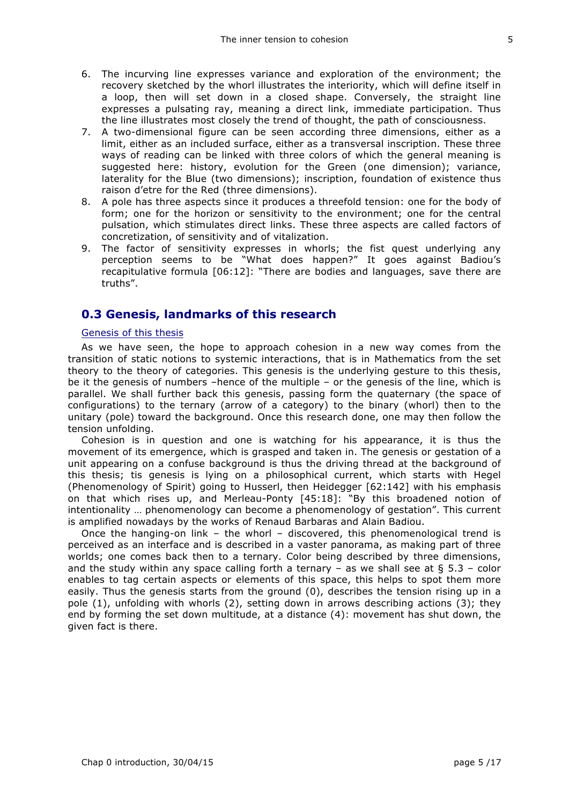- 6. The incurving line expresses variance and exploration of the environment; the recovery sketched by the whorl illustrates the interiority, which will define itself in a loop, then will set down in a closed shape. Conversely, the straight line expresses a pulsating ray, meaning a direct link, immediate participation. Thus the line illustrates most closely the trend of thought, the path of consciousness.
- 7. A two-dimensional figure can be seen according three dimensions, either as a limit, either as an included surface, either as a transversal inscription. These three ways of reading can be linked with three colors of which the general meaning is suggested here: history, evolution for the Green (one dimension); variance, laterality for the Blue (two dimensions); inscription, foundation of existence thus raison d'etre for the Red (three dimensions).
- 8. A pole has three aspects since it produces a threefold tension: one for the body of form; one for the horizon or sensitivity to the environment; one for the central pulsation, which stimulates direct links. These three aspects are called factors of concretization, of sensitivity and of vitalization.
- 9. The factor of sensitivity expresses in whorls; the fist quest underlying any perception seems to be "What does happen?" It goes against Badiou's recapitulative formula [06:12]: "There are bodies and languages, save there are truths".

## **0.3 Genesis, landmarks of this research**

#### Genesis of this thesis

As we have seen, the hope to approach cohesion in a new way comes from the transition of static notions to systemic interactions, that is in Mathematics from the set theory to the theory of categories. This genesis is the underlying gesture to this thesis, be it the genesis of numbers –hence of the multiple – or the genesis of the line, which is parallel. We shall further back this genesis, passing form the quaternary (the space of configurations) to the ternary (arrow of a category) to the binary (whorl) then to the unitary (pole) toward the background. Once this research done, one may then follow the tension unfolding.

Cohesion is in question and one is watching for his appearance, it is thus the movement of its emergence, which is grasped and taken in. The genesis or gestation of a unit appearing on a confuse background is thus the driving thread at the background of this thesis; tis genesis is lying on a philosophical current, which starts with Hegel (Phenomenology of Spirit) going to Husserl, then Heidegger [62:142] with his emphasis on that which rises up, and Merleau-Ponty [45:18]: "By this broadened notion of intentionality … phenomenology can become a phenomenology of gestation". This current is amplified nowadays by the works of Renaud Barbaras and Alain Badiou.

Once the hanging-on link – the whorl – discovered, this phenomenological trend is perceived as an interface and is described in a vaster panorama, as making part of three worlds; one comes back then to a ternary. Color being described by three dimensions, and the study within any space calling forth a ternary – as we shall see at  $\S$  5.3 – color enables to tag certain aspects or elements of this space, this helps to spot them more easily. Thus the genesis starts from the ground (0), describes the tension rising up in a pole (1), unfolding with whorls (2), setting down in arrows describing actions (3); they end by forming the set down multitude, at a distance (4): movement has shut down, the given fact is there.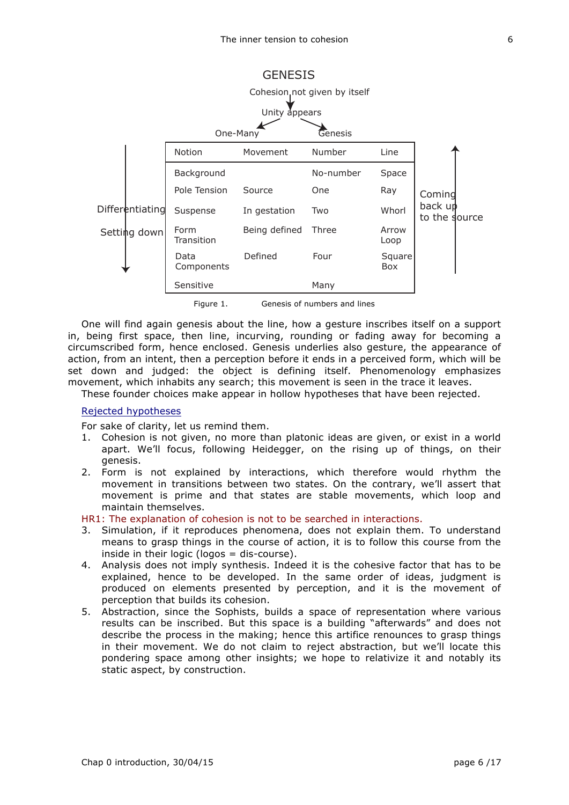

Figure 1. Genesis of numbers and lines

One will find again genesis about the line, how a gesture inscribes itself on a support in, being first space, then line, incurving, rounding or fading away for becoming a circumscribed form, hence enclosed. Genesis underlies also gesture, the appearance of action, from an intent, then a perception before it ends in a perceived form, which will be set down and judged: the object is defining itself. Phenomenology emphasizes movement, which inhabits any search; this movement is seen in the trace it leaves.

These founder choices make appear in hollow hypotheses that have been rejected.

#### Rejected hypotheses

For sake of clarity, let us remind them.

- 1. Cohesion is not given, no more than platonic ideas are given, or exist in a world apart. We'll focus, following Heidegger, on the rising up of things, on their genesis.
- 2. Form is not explained by interactions, which therefore would rhythm the movement in transitions between two states. On the contrary, we'll assert that movement is prime and that states are stable movements, which loop and maintain themselves.

HR1: The explanation of cohesion is not to be searched in interactions.

- 3. Simulation, if it reproduces phenomena, does not explain them. To understand means to grasp things in the course of action, it is to follow this course from the inside in their logic (logos = dis-course).
- 4. Analysis does not imply synthesis. Indeed it is the cohesive factor that has to be explained, hence to be developed. In the same order of ideas, judgment is produced on elements presented by perception, and it is the movement of perception that builds its cohesion.
- 5. Abstraction, since the Sophists, builds a space of representation where various results can be inscribed. But this space is a building "afterwards" and does not describe the process in the making; hence this artifice renounces to grasp things in their movement. We do not claim to reject abstraction, but we'll locate this pondering space among other insights; we hope to relativize it and notably its static aspect, by construction.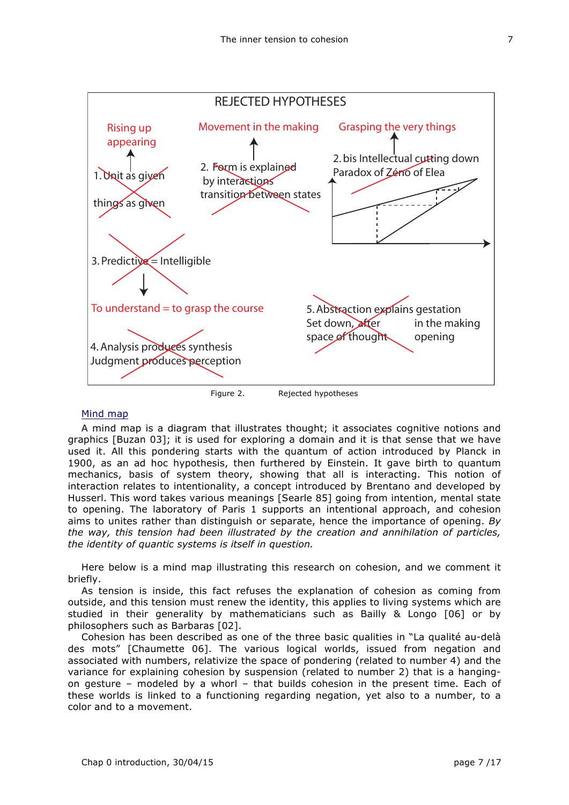

#### Mind map

A mind map is a diagram that illustrates thought; it associates cognitive notions and graphics [Buzan 03]; it is used for exploring a domain and it is that sense that we have used it. All this pondering starts with the quantum of action introduced by Planck in 1900, as an ad hoc hypothesis, then furthered by Einstein. It gave birth to quantum mechanics, basis of system theory, showing that all is interacting. This notion of interaction relates to intentionality, a concept introduced by Brentano and developed by Husserl. This word takes various meanings [Searle 85] going from intention, mental state to opening. The laboratory of Paris 1 supports an intentional approach, and cohesion aims to unites rather than distinguish or separate, hence the importance of opening. *By the way, this tension had been illustrated by the creation and annihilation of particles, the identity of quantic systems is itself in question.*

Here below is a mind map illustrating this research on cohesion, and we comment it briefly.

As tension is inside, this fact refuses the explanation of cohesion as coming from outside, and this tension must renew the identity, this applies to living systems which are studied in their generality by mathematicians such as Bailly & Longo [06] or by philosophers such as Barbaras [02].

Cohesion has been described as one of the three basic qualities in "La qualité au-delà des mots" [Chaumette 06]. The various logical worlds, issued from negation and associated with numbers, relativize the space of pondering (related to number 4) and the variance for explaining cohesion by suspension (related to number 2) that is a hangingon gesture – modeled by a whorl – that builds cohesion in the present time. Each of these worlds is linked to a functioning regarding negation, yet also to a number, to a color and to a movement.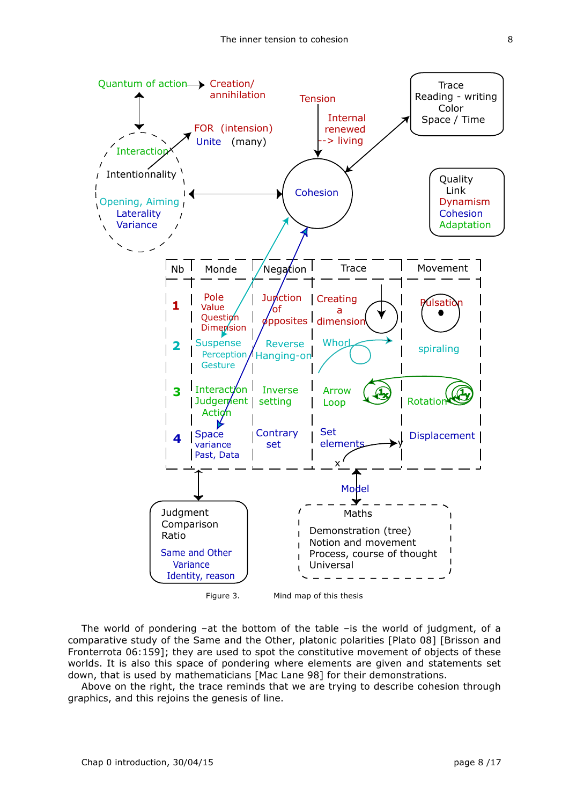

The world of pondering –at the bottom of the table –is the world of judgment, of a comparative study of the Same and the Other, platonic polarities [Plato 08] [Brisson and Fronterrota 06:159]; they are used to spot the constitutive movement of objects of these worlds. It is also this space of pondering where elements are given and statements set down, that is used by mathematicians [Mac Lane 98] for their demonstrations.

Above on the right, the trace reminds that we are trying to describe cohesion through graphics, and this rejoins the genesis of line.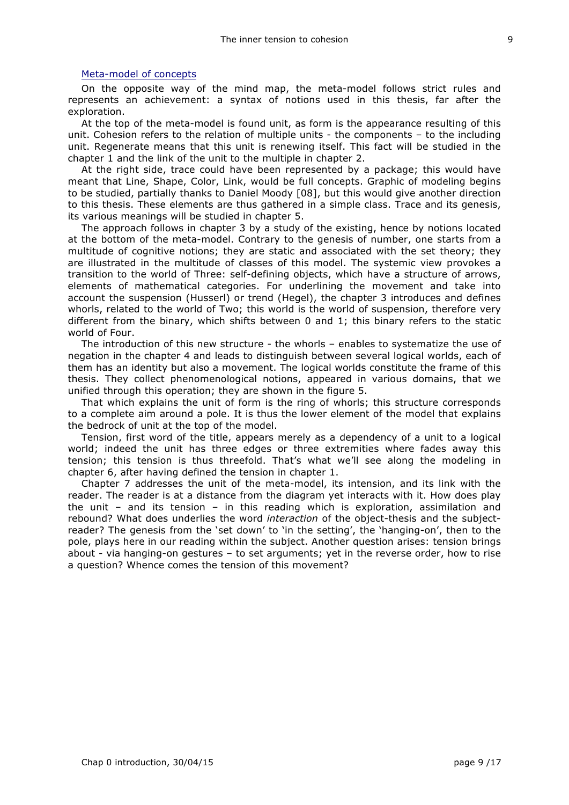#### Meta-model of concepts

On the opposite way of the mind map, the meta-model follows strict rules and represents an achievement: a syntax of notions used in this thesis, far after the exploration.

At the top of the meta-model is found unit, as form is the appearance resulting of this unit. Cohesion refers to the relation of multiple units - the components – to the including unit. Regenerate means that this unit is renewing itself. This fact will be studied in the chapter 1 and the link of the unit to the multiple in chapter 2.

At the right side, trace could have been represented by a package; this would have meant that Line, Shape, Color, Link, would be full concepts. Graphic of modeling begins to be studied, partially thanks to Daniel Moody [08], but this would give another direction to this thesis. These elements are thus gathered in a simple class. Trace and its genesis, its various meanings will be studied in chapter 5.

The approach follows in chapter 3 by a study of the existing, hence by notions located at the bottom of the meta-model. Contrary to the genesis of number, one starts from a multitude of cognitive notions; they are static and associated with the set theory; they are illustrated in the multitude of classes of this model. The systemic view provokes a transition to the world of Three: self-defining objects, which have a structure of arrows, elements of mathematical categories. For underlining the movement and take into account the suspension (Husserl) or trend (Hegel), the chapter 3 introduces and defines whorls, related to the world of Two; this world is the world of suspension, therefore very different from the binary, which shifts between 0 and 1; this binary refers to the static world of Four.

The introduction of this new structure - the whorls – enables to systematize the use of negation in the chapter 4 and leads to distinguish between several logical worlds, each of them has an identity but also a movement. The logical worlds constitute the frame of this thesis. They collect phenomenological notions, appeared in various domains, that we unified through this operation; they are shown in the figure 5.

That which explains the unit of form is the ring of whorls; this structure corresponds to a complete aim around a pole. It is thus the lower element of the model that explains the bedrock of unit at the top of the model.

Tension, first word of the title, appears merely as a dependency of a unit to a logical world; indeed the unit has three edges or three extremities where fades away this tension; this tension is thus threefold. That's what we'll see along the modeling in chapter 6, after having defined the tension in chapter 1.

Chapter 7 addresses the unit of the meta-model, its intension, and its link with the reader. The reader is at a distance from the diagram yet interacts with it. How does play the unit – and its tension – in this reading which is exploration, assimilation and rebound? What does underlies the word *interaction* of the object-thesis and the subjectreader? The genesis from the 'set down' to 'in the setting', the 'hanging-on', then to the pole, plays here in our reading within the subject. Another question arises: tension brings about - via hanging-on gestures – to set arguments; yet in the reverse order, how to rise a question? Whence comes the tension of this movement?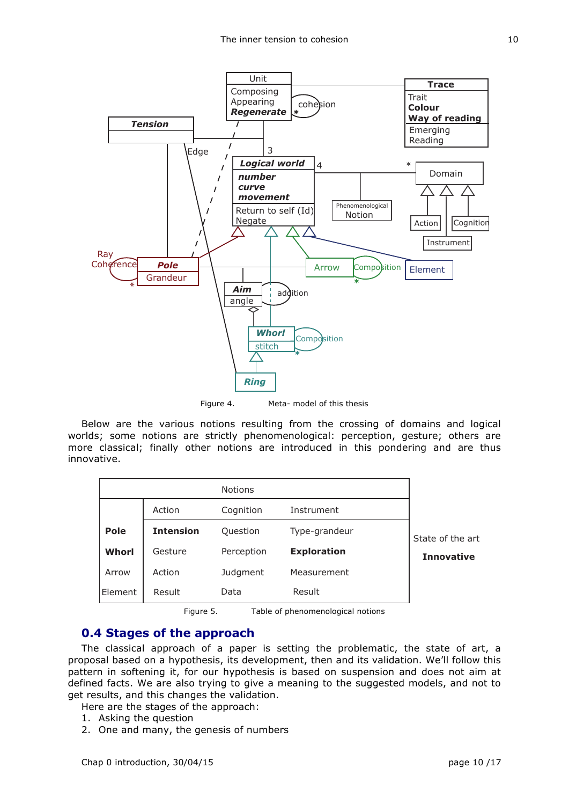

Figure 4. Meta- model of this thesis

Below are the various notions resulting from the crossing of domains and logical worlds; some notions are strictly phenomenological: perception, gesture; others are more classical; finally other notions are introduced in this pondering and are thus innovative.

|              |                  | <b>Notions</b> |                    |                                       |
|--------------|------------------|----------------|--------------------|---------------------------------------|
|              | Action           | Cognition      | Instrument         | State of the art<br><b>Innovative</b> |
| Pole         | <b>Intension</b> | Question       | Type-grandeur      |                                       |
| <b>Whorl</b> | Gesture          | Perception     | <b>Exploration</b> |                                       |
| Arrow        | Action           | Judgment       | Measurement        |                                       |
| Element      | Result           | Data           | Result             |                                       |

Figure 5. Table of phenomenological notions

## **0.4 Stages of the approach**

The classical approach of a paper is setting the problematic, the state of art, a proposal based on a hypothesis, its development, then and its validation. We'll follow this pattern in softening it, for our hypothesis is based on suspension and does not aim at defined facts. We are also trying to give a meaning to the suggested models, and not to get results, and this changes the validation.

Here are the stages of the approach:

- 1. Asking the question
- 2. One and many, the genesis of numbers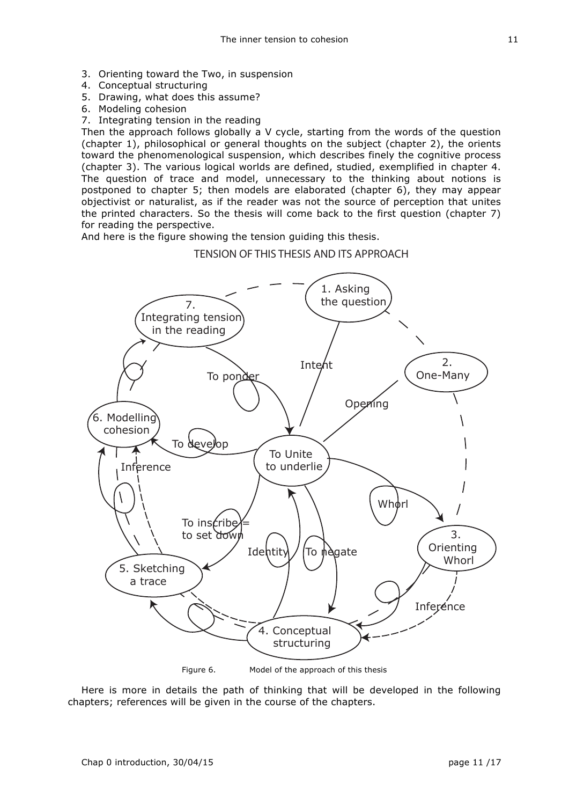- 3. Orienting toward the Two, in suspension
- 4. Conceptual structuring
- 5. Drawing, what does this assume?
- 6. Modeling cohesion
- 7. Integrating tension in the reading

Then the approach follows globally a V cycle, starting from the words of the question (chapter 1), philosophical or general thoughts on the subject (chapter 2), the orients toward the phenomenological suspension, which describes finely the cognitive process (chapter 3). The various logical worlds are defined, studied, exemplified in chapter 4. The question of trace and model, unnecessary to the thinking about notions is postponed to chapter 5; then models are elaborated (chapter 6), they may appear objectivist or naturalist, as if the reader was not the source of perception that unites the printed characters. So the thesis will come back to the first question (chapter 7) for reading the perspective.

And here is the figure showing the tension guiding this thesis.

TENSION OF THIS THESIS AND ITS APPROACH



Here is more in details the path of thinking that will be developed in the following chapters; references will be given in the course of the chapters.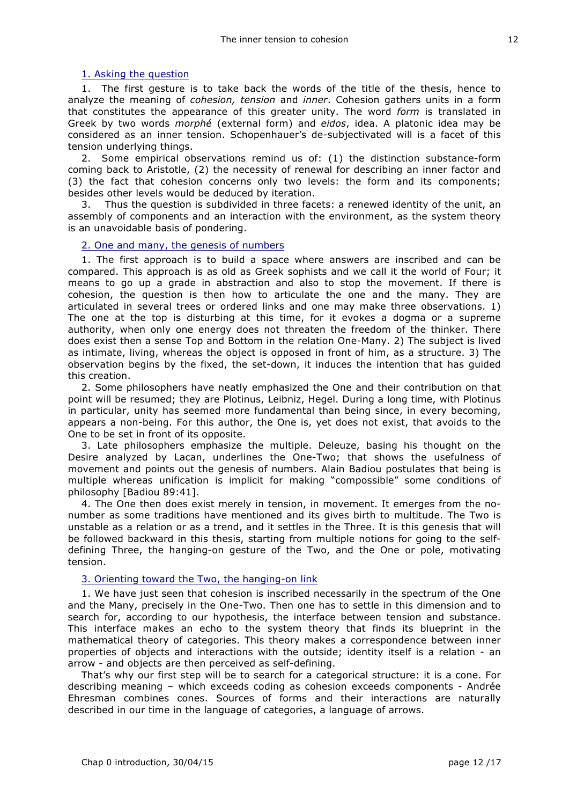#### 1. Asking the question

1. The first gesture is to take back the words of the title of the thesis, hence to analyze the meaning of *cohesion, tension* and *inner*. Cohesion gathers units in a form that constitutes the appearance of this greater unity. The word *form* is translated in Greek by two words *morphé* (external form) and *eidos*, idea. A platonic idea may be considered as an inner tension. Schopenhauer's de-subjectivated will is a facet of this tension underlying things.

2. Some empirical observations remind us of: (1) the distinction substance-form coming back to Aristotle, (2) the necessity of renewal for describing an inner factor and (3) the fact that cohesion concerns only two levels: the form and its components; besides other levels would be deduced by iteration.

3. Thus the question is subdivided in three facets: a renewed identity of the unit, an assembly of components and an interaction with the environment, as the system theory is an unavoidable basis of pondering.

#### 2. One and many, the genesis of numbers

1. The first approach is to build a space where answers are inscribed and can be compared. This approach is as old as Greek sophists and we call it the world of Four; it means to go up a grade in abstraction and also to stop the movement. If there is cohesion, the question is then how to articulate the one and the many. They are articulated in several trees or ordered links and one may make three observations. 1) The one at the top is disturbing at this time, for it evokes a dogma or a supreme authority, when only one energy does not threaten the freedom of the thinker. There does exist then a sense Top and Bottom in the relation One-Many. 2) The subject is lived as intimate, living, whereas the object is opposed in front of him, as a structure. 3) The observation begins by the fixed, the set-down, it induces the intention that has guided this creation.

2. Some philosophers have neatly emphasized the One and their contribution on that point will be resumed; they are Plotinus, Leibniz, Hegel. During a long time, with Plotinus in particular, unity has seemed more fundamental than being since, in every becoming, appears a non-being. For this author, the One is, yet does not exist, that avoids to the One to be set in front of its opposite.

3. Late philosophers emphasize the multiple. Deleuze, basing his thought on the Desire analyzed by Lacan, underlines the One-Two; that shows the usefulness of movement and points out the genesis of numbers. Alain Badiou postulates that being is multiple whereas unification is implicit for making "compossible" some conditions of philosophy [Badiou 89:41].

4. The One then does exist merely in tension, in movement. It emerges from the nonumber as some traditions have mentioned and its gives birth to multitude. The Two is unstable as a relation or as a trend, and it settles in the Three. It is this genesis that will be followed backward in this thesis, starting from multiple notions for going to the selfdefining Three, the hanging-on gesture of the Two, and the One or pole, motivating tension.

#### 3. Orienting toward the Two, the hanging-on link

1. We have just seen that cohesion is inscribed necessarily in the spectrum of the One and the Many, precisely in the One-Two. Then one has to settle in this dimension and to search for, according to our hypothesis, the interface between tension and substance. This interface makes an echo to the system theory that finds its blueprint in the mathematical theory of categories. This theory makes a correspondence between inner properties of objects and interactions with the outside; identity itself is a relation - an arrow - and objects are then perceived as self-defining.

That's why our first step will be to search for a categorical structure: it is a cone. For describing meaning – which exceeds coding as cohesion exceeds components - Andrée Ehresman combines cones. Sources of forms and their interactions are naturally described in our time in the language of categories, a language of arrows.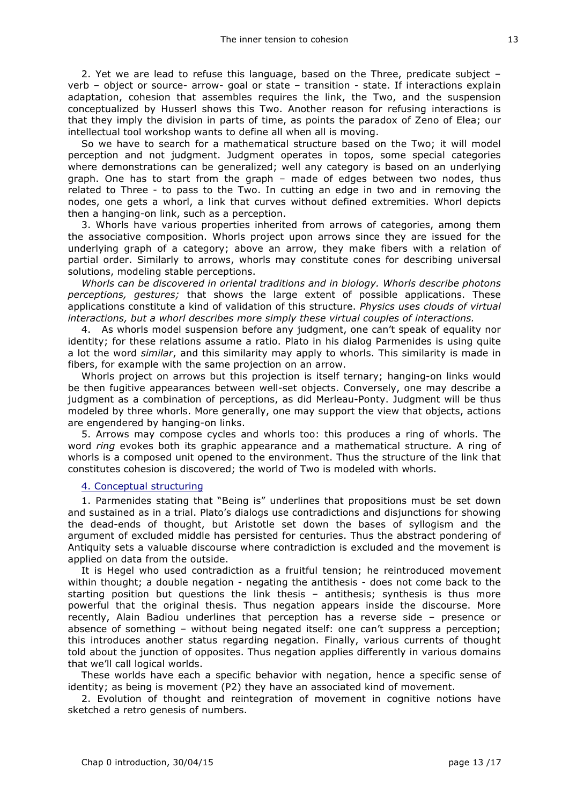2. Yet we are lead to refuse this language, based on the Three, predicate subject – verb – object or source- arrow- goal or state – transition - state. If interactions explain adaptation, cohesion that assembles requires the link, the Two, and the suspension conceptualized by Husserl shows this Two. Another reason for refusing interactions is that they imply the division in parts of time, as points the paradox of Zeno of Elea; our intellectual tool workshop wants to define all when all is moving.

So we have to search for a mathematical structure based on the Two; it will model perception and not judgment. Judgment operates in topos, some special categories where demonstrations can be generalized; well any category is based on an underlying graph. One has to start from the graph – made of edges between two nodes, thus related to Three - to pass to the Two. In cutting an edge in two and in removing the nodes, one gets a whorl, a link that curves without defined extremities. Whorl depicts then a hanging-on link, such as a perception.

3. Whorls have various properties inherited from arrows of categories, among them the associative composition. Whorls project upon arrows since they are issued for the underlying graph of a category; above an arrow, they make fibers with a relation of partial order. Similarly to arrows, whorls may constitute cones for describing universal solutions, modeling stable perceptions.

*Whorls can be discovered in oriental traditions and in biology. Whorls describe photons perceptions, gestures;* that shows the large extent of possible applications. These applications constitute a kind of validation of this structure. *Physics uses clouds of virtual interactions, but a whorl describes more simply these virtual couples of interactions.*

4. As whorls model suspension before any judgment, one can't speak of equality nor identity; for these relations assume a ratio. Plato in his dialog Parmenides is using quite a lot the word *similar*, and this similarity may apply to whorls. This similarity is made in fibers, for example with the same projection on an arrow.

Whorls project on arrows but this projection is itself ternary; hanging-on links would be then fugitive appearances between well-set objects. Conversely, one may describe a judgment as a combination of perceptions, as did Merleau-Ponty. Judgment will be thus modeled by three whorls. More generally, one may support the view that objects, actions are engendered by hanging-on links.

5. Arrows may compose cycles and whorls too: this produces a ring of whorls. The word *ring* evokes both its graphic appearance and a mathematical structure. A ring of whorls is a composed unit opened to the environment. Thus the structure of the link that constitutes cohesion is discovered; the world of Two is modeled with whorls.

#### 4. Conceptual structuring

1. Parmenides stating that "Being is" underlines that propositions must be set down and sustained as in a trial. Plato's dialogs use contradictions and disjunctions for showing the dead-ends of thought, but Aristotle set down the bases of syllogism and the argument of excluded middle has persisted for centuries. Thus the abstract pondering of Antiquity sets a valuable discourse where contradiction is excluded and the movement is applied on data from the outside.

It is Hegel who used contradiction as a fruitful tension; he reintroduced movement within thought; a double negation - negating the antithesis - does not come back to the starting position but questions the link thesis – antithesis; synthesis is thus more powerful that the original thesis. Thus negation appears inside the discourse. More recently, Alain Badiou underlines that perception has a reverse side – presence or absence of something – without being negated itself: one can't suppress a perception; this introduces another status regarding negation. Finally, various currents of thought told about the junction of opposites. Thus negation applies differently in various domains that we'll call logical worlds.

These worlds have each a specific behavior with negation, hence a specific sense of identity; as being is movement (P2) they have an associated kind of movement.

2. Evolution of thought and reintegration of movement in cognitive notions have sketched a retro genesis of numbers.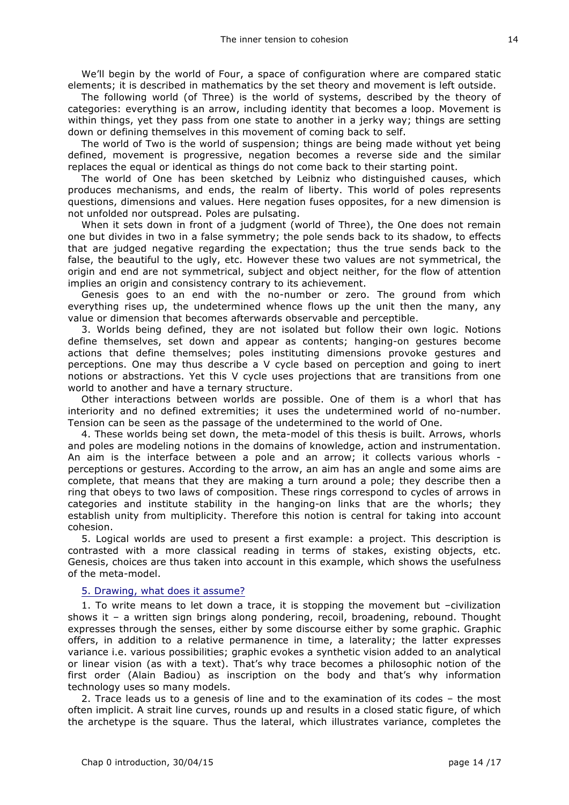We'll begin by the world of Four, a space of configuration where are compared static elements; it is described in mathematics by the set theory and movement is left outside.

The following world (of Three) is the world of systems, described by the theory of categories: everything is an arrow, including identity that becomes a loop. Movement is within things, yet they pass from one state to another in a jerky way; things are setting down or defining themselves in this movement of coming back to self.

The world of Two is the world of suspension; things are being made without yet being defined, movement is progressive, negation becomes a reverse side and the similar replaces the equal or identical as things do not come back to their starting point.

The world of One has been sketched by Leibniz who distinguished causes, which produces mechanisms, and ends, the realm of liberty. This world of poles represents questions, dimensions and values. Here negation fuses opposites, for a new dimension is not unfolded nor outspread. Poles are pulsating.

When it sets down in front of a judgment (world of Three), the One does not remain one but divides in two in a false symmetry; the pole sends back to its shadow, to effects that are judged negative regarding the expectation; thus the true sends back to the false, the beautiful to the ugly, etc. However these two values are not symmetrical, the origin and end are not symmetrical, subject and object neither, for the flow of attention implies an origin and consistency contrary to its achievement.

Genesis goes to an end with the no-number or zero. The ground from which everything rises up, the undetermined whence flows up the unit then the many, any value or dimension that becomes afterwards observable and perceptible.

3. Worlds being defined, they are not isolated but follow their own logic. Notions define themselves, set down and appear as contents; hanging-on gestures become actions that define themselves; poles instituting dimensions provoke gestures and perceptions. One may thus describe a V cycle based on perception and going to inert notions or abstractions. Yet this V cycle uses projections that are transitions from one world to another and have a ternary structure.

Other interactions between worlds are possible. One of them is a whorl that has interiority and no defined extremities; it uses the undetermined world of no-number. Tension can be seen as the passage of the undetermined to the world of One.

4. These worlds being set down, the meta-model of this thesis is built. Arrows, whorls and poles are modeling notions in the domains of knowledge, action and instrumentation. An aim is the interface between a pole and an arrow; it collects various whorls perceptions or gestures. According to the arrow, an aim has an angle and some aims are complete, that means that they are making a turn around a pole; they describe then a ring that obeys to two laws of composition. These rings correspond to cycles of arrows in categories and institute stability in the hanging-on links that are the whorls; they establish unity from multiplicity. Therefore this notion is central for taking into account cohesion.

5. Logical worlds are used to present a first example: a project. This description is contrasted with a more classical reading in terms of stakes, existing objects, etc. Genesis, choices are thus taken into account in this example, which shows the usefulness of the meta-model.

#### 5. Drawing, what does it assume?

1. To write means to let down a trace, it is stopping the movement but –civilization shows it – a written sign brings along pondering, recoil, broadening, rebound. Thought expresses through the senses, either by some discourse either by some graphic. Graphic offers, in addition to a relative permanence in time, a laterality; the latter expresses variance i.e. various possibilities; graphic evokes a synthetic vision added to an analytical or linear vision (as with a text). That's why trace becomes a philosophic notion of the first order (Alain Badiou) as inscription on the body and that's why information technology uses so many models.

2. Trace leads us to a genesis of line and to the examination of its codes – the most often implicit. A strait line curves, rounds up and results in a closed static figure, of which the archetype is the square. Thus the lateral, which illustrates variance, completes the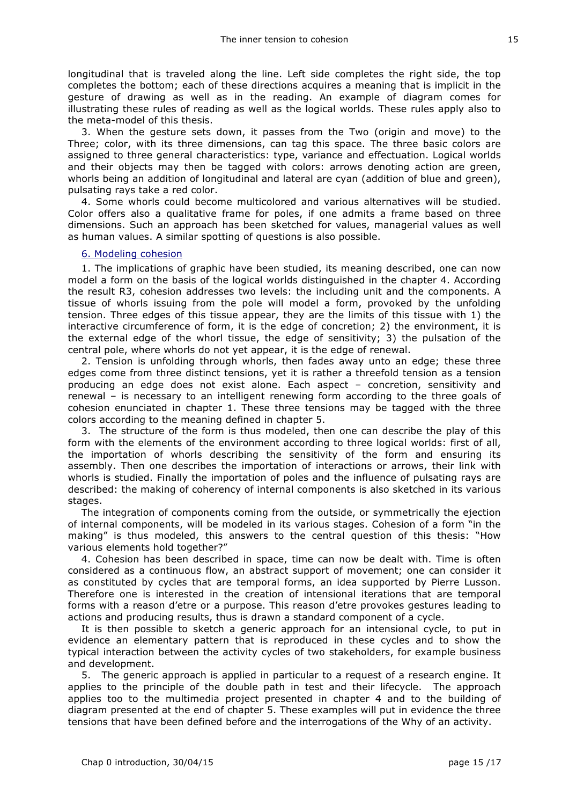longitudinal that is traveled along the line. Left side completes the right side, the top completes the bottom; each of these directions acquires a meaning that is implicit in the gesture of drawing as well as in the reading. An example of diagram comes for illustrating these rules of reading as well as the logical worlds. These rules apply also to the meta-model of this thesis.

3. When the gesture sets down, it passes from the Two (origin and move) to the Three; color, with its three dimensions, can tag this space. The three basic colors are assigned to three general characteristics: type, variance and effectuation. Logical worlds and their objects may then be tagged with colors: arrows denoting action are green, whorls being an addition of longitudinal and lateral are cyan (addition of blue and green), pulsating rays take a red color.

4. Some whorls could become multicolored and various alternatives will be studied. Color offers also a qualitative frame for poles, if one admits a frame based on three dimensions. Such an approach has been sketched for values, managerial values as well as human values. A similar spotting of questions is also possible.

#### 6. Modeling cohesion

1. The implications of graphic have been studied, its meaning described, one can now model a form on the basis of the logical worlds distinguished in the chapter 4. According the result R3, cohesion addresses two levels: the including unit and the components. A tissue of whorls issuing from the pole will model a form, provoked by the unfolding tension. Three edges of this tissue appear, they are the limits of this tissue with 1) the interactive circumference of form, it is the edge of concretion; 2) the environment, it is the external edge of the whorl tissue, the edge of sensitivity; 3) the pulsation of the central pole, where whorls do not yet appear, it is the edge of renewal.

2. Tension is unfolding through whorls, then fades away unto an edge; these three edges come from three distinct tensions, yet it is rather a threefold tension as a tension producing an edge does not exist alone. Each aspect – concretion, sensitivity and renewal – is necessary to an intelligent renewing form according to the three goals of cohesion enunciated in chapter 1. These three tensions may be tagged with the three colors according to the meaning defined in chapter 5.

3. The structure of the form is thus modeled, then one can describe the play of this form with the elements of the environment according to three logical worlds: first of all, the importation of whorls describing the sensitivity of the form and ensuring its assembly. Then one describes the importation of interactions or arrows, their link with whorls is studied. Finally the importation of poles and the influence of pulsating rays are described: the making of coherency of internal components is also sketched in its various stages.

The integration of components coming from the outside, or symmetrically the ejection of internal components, will be modeled in its various stages. Cohesion of a form "in the making" is thus modeled, this answers to the central question of this thesis: "How various elements hold together?"

4. Cohesion has been described in space, time can now be dealt with. Time is often considered as a continuous flow, an abstract support of movement; one can consider it as constituted by cycles that are temporal forms, an idea supported by Pierre Lusson. Therefore one is interested in the creation of intensional iterations that are temporal forms with a reason d'etre or a purpose. This reason d'etre provokes gestures leading to actions and producing results, thus is drawn a standard component of a cycle.

It is then possible to sketch a generic approach for an intensional cycle, to put in evidence an elementary pattern that is reproduced in these cycles and to show the typical interaction between the activity cycles of two stakeholders, for example business and development.

5. The generic approach is applied in particular to a request of a research engine. It applies to the principle of the double path in test and their lifecycle. The approach applies too to the multimedia project presented in chapter 4 and to the building of diagram presented at the end of chapter 5. These examples will put in evidence the three tensions that have been defined before and the interrogations of the Why of an activity.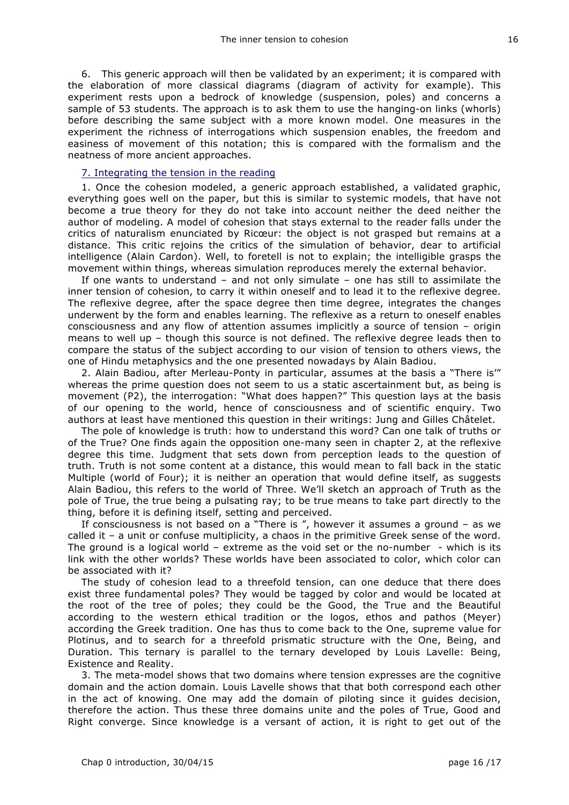6. This generic approach will then be validated by an experiment; it is compared with the elaboration of more classical diagrams (diagram of activity for example). This experiment rests upon a bedrock of knowledge (suspension, poles) and concerns a sample of 53 students. The approach is to ask them to use the hanging-on links (whorls) before describing the same subject with a more known model. One measures in the experiment the richness of interrogations which suspension enables, the freedom and easiness of movement of this notation; this is compared with the formalism and the neatness of more ancient approaches.

#### 7. Integrating the tension in the reading

1. Once the cohesion modeled, a generic approach established, a validated graphic, everything goes well on the paper, but this is similar to systemic models, that have not become a true theory for they do not take into account neither the deed neither the author of modeling. A model of cohesion that stays external to the reader falls under the critics of naturalism enunciated by Ricœur: the object is not grasped but remains at a distance. This critic rejoins the critics of the simulation of behavior, dear to artificial intelligence (Alain Cardon). Well, to foretell is not to explain; the intelligible grasps the movement within things, whereas simulation reproduces merely the external behavior.

If one wants to understand – and not only simulate – one has still to assimilate the inner tension of cohesion, to carry it within oneself and to lead it to the reflexive degree. The reflexive degree, after the space degree then time degree, integrates the changes underwent by the form and enables learning. The reflexive as a return to oneself enables consciousness and any flow of attention assumes implicitly a source of tension – origin means to well up – though this source is not defined. The reflexive degree leads then to compare the status of the subject according to our vision of tension to others views, the one of Hindu metaphysics and the one presented nowadays by Alain Badiou.

2. Alain Badiou, after Merleau-Ponty in particular, assumes at the basis a "There is'" whereas the prime question does not seem to us a static ascertainment but, as being is movement (P2), the interrogation: "What does happen?" This question lays at the basis of our opening to the world, hence of consciousness and of scientific enquiry. Two authors at least have mentioned this question in their writings: Jung and Gilles Châtelet.

The pole of knowledge is truth: how to understand this word? Can one talk of truths or of the True? One finds again the opposition one-many seen in chapter 2, at the reflexive degree this time. Judgment that sets down from perception leads to the question of truth. Truth is not some content at a distance, this would mean to fall back in the static Multiple (world of Four); it is neither an operation that would define itself, as suggests Alain Badiou, this refers to the world of Three. We'll sketch an approach of Truth as the pole of True, the true being a pulsating ray; to be true means to take part directly to the thing, before it is defining itself, setting and perceived.

If consciousness is not based on a "There is ", however it assumes a ground – as we called it – a unit or confuse multiplicity, a chaos in the primitive Greek sense of the word. The ground is a logical world – extreme as the void set or the no-number  $-$  which is its link with the other worlds? These worlds have been associated to color, which color can be associated with it?

The study of cohesion lead to a threefold tension, can one deduce that there does exist three fundamental poles? They would be tagged by color and would be located at the root of the tree of poles; they could be the Good, the True and the Beautiful according to the western ethical tradition or the logos, ethos and pathos (Meyer) according the Greek tradition. One has thus to come back to the One, supreme value for Plotinus, and to search for a threefold prismatic structure with the One, Being, and Duration. This ternary is parallel to the ternary developed by Louis Lavelle: Being, Existence and Reality.

3. The meta-model shows that two domains where tension expresses are the cognitive domain and the action domain. Louis Lavelle shows that that both correspond each other in the act of knowing. One may add the domain of piloting since it guides decision, therefore the action. Thus these three domains unite and the poles of True, Good and Right converge. Since knowledge is a versant of action, it is right to get out of the